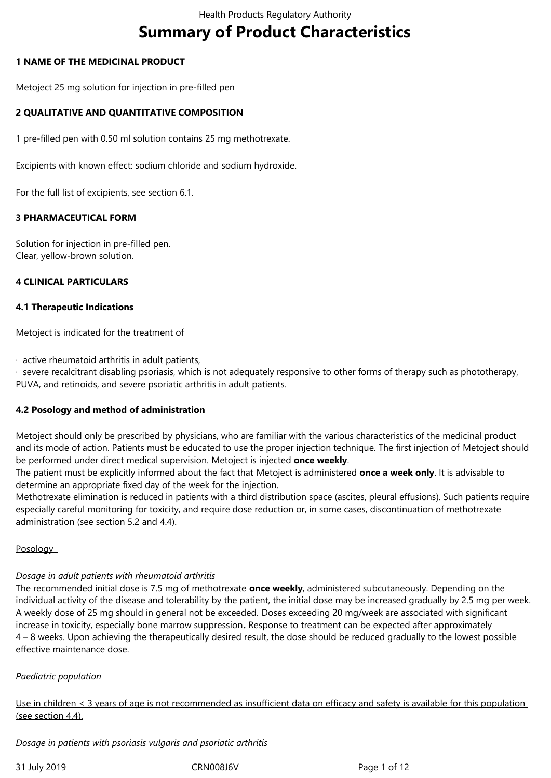# **Summary of Product Characteristics**

## **1 NAME OF THE MEDICINAL PRODUCT**

Metoject 25 mg solution for injection in pre-filled pen

# **2 QUALITATIVE AND QUANTITATIVE COMPOSITION**

1 pre-filled pen with 0.50 ml solution contains 25 mg methotrexate.

Excipients with known effect: sodium chloride and sodium hydroxide.

For the full list of excipients, see section 6.1.

# **3 PHARMACEUTICAL FORM**

Solution for injection in pre-filled pen. Clear, yellow-brown solution.

## **4 CLINICAL PARTICULARS**

### **4.1 Therapeutic Indications**

Metoject is indicated for the treatment of

 $\cdot$  active rheumatoid arthritis in adult patients,

· severe recalcitrant disabling psoriasis, which is not adequately responsive to other forms of therapy such as phototherapy, PUVA, and retinoids, and severe psoriatic arthritis in adult patients.

### **4.2 Posology and method of administration**

Metoject should only be prescribed by physicians, who are familiar with the various characteristics of the medicinal product and its mode of action. Patients must be educated to use the proper injection technique. The first injection of Metoject should be performed under direct medical supervision. Metoject is injected **once weekly**.

The patient must be explicitly informed about the fact that Metoject is administered **once a week only**. It is advisable to determine an appropriate fixed day of the week for the injection.

Methotrexate elimination is reduced in patients with a third distribution space (ascites, pleural effusions). Such patients require especially careful monitoring for toxicity, and require dose reduction or, in some cases, discontinuation of methotrexate administration (see section 5.2 and 4.4).

### Posology

### *Dosage in adult patients with rheumatoid arthritis*

The recommended initial dose is 7.5 mg of methotrexate **once weekly**, administered subcutaneously. Depending on the individual activity of the disease and tolerability by the patient, the initial dose may be increased gradually by 2.5 mg per week. A weekly dose of 25 mg should in general not be exceeded. Doses exceeding 20 mg/week are associated with significant increase in toxicity, especially bone marrow suppression**.** Response to treatment can be expected after approximately 4 – 8 weeks. Upon achieving the therapeutically desired result, the dose should be reduced gradually to the lowest possible effective maintenance dose.

### *Paediatric population*

Use in children < 3 years of age is not recommended as insufficient data on efficacy and safety is available for this population (see section 4.4).

*Dosage in patients with psoriasis vulgaris and psoriatic arthritis*

31 July 2019 CRN008J6V Page 1 of 12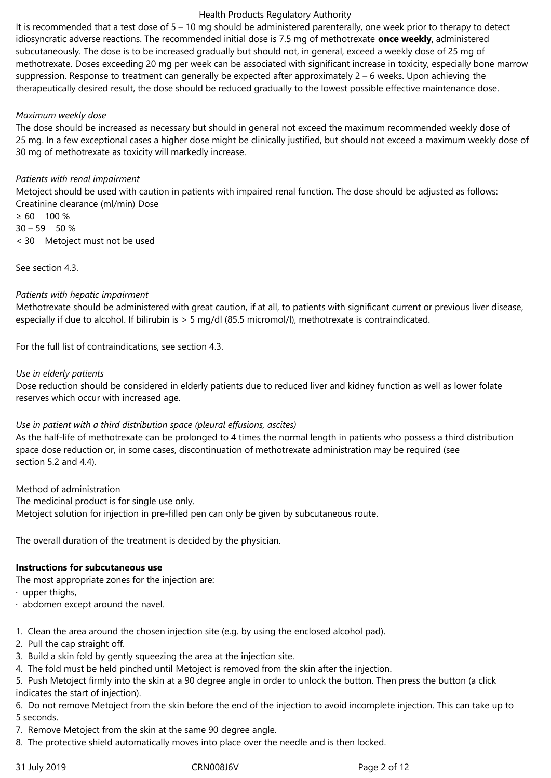It is recommended that a test dose of 5 – 10 mg should be administered parenterally, one week prior to therapy to detect idiosyncratic adverse reactions. The recommended initial dose is 7.5 mg of methotrexate **once weekly**, administered subcutaneously. The dose is to be increased gradually but should not, in general, exceed a weekly dose of 25 mg of methotrexate. Doses exceeding 20 mg per week can be associated with significant increase in toxicity, especially bone marrow suppression. Response to treatment can generally be expected after approximately 2 – 6 weeks. Upon achieving the therapeutically desired result, the dose should be reduced gradually to the lowest possible effective maintenance dose.

# *Maximum weekly dose*

The dose should be increased as necessary but should in general not exceed the maximum recommended weekly dose of 25 mg. In a few exceptional cases a higher dose might be clinically justified, but should not exceed a maximum weekly dose of 30 mg of methotrexate as toxicity will markedly increase.

## *Patients with renal impairment*

Metoject should be used with caution in patients with impaired renal function. The dose should be adjusted as follows: Creatinine clearance (ml/min) Dose

 $\geq 60$  100 %  $30 - 59$  50 % < 30 Metoject must not be used

See section 4.3.

## *Patients with hepatic impairment*

Methotrexate should be administered with great caution, if at all, to patients with significant current or previous liver disease, especially if due to alcohol. If bilirubin is > 5 mg/dl (85.5 micromol/l), methotrexate is contraindicated.

For the full list of contraindications, see section 4.3.

## *Use in elderly patients*

Dose reduction should be considered in elderly patients due to reduced liver and kidney function as well as lower folate reserves which occur with increased age.

# *Use in patient with a third distribution space (pleural effusions, ascites)*

As the half-life of methotrexate can be prolonged to 4 times the normal length in patients who possess a third distribution space dose reduction or, in some cases, discontinuation of methotrexate administration may be required (see section 5.2 and 4.4).

### Method of administration

The medicinal product is for single use only.

Metoject solution for injection in pre-filled pen can only be given by subcutaneous route.

The overall duration of the treatment is decided by the physician.

### **Instructions for subcutaneous use**

The most appropriate zones for the injection are:

 $\cdot$  upper thighs,

- · abdomen except around the navel.
- 1. Clean the area around the chosen injection site (e.g. by using the enclosed alcohol pad).
- 2. Pull the cap straight off.
- 3. Build a skin fold by gently squeezing the area at the injection site.
- 4. The fold must be held pinched until Metoject is removed from the skin after the injection.

5. Push Metoject firmly into the skin at a 90 degree angle in order to unlock the button. Then press the button (a click indicates the start of injection).

6. Do not remove Metoject from the skin before the end of the injection to avoid incomplete injection. This can take up to 5 seconds.

- 7. Remove Metoject from the skin at the same 90 degree angle.
- 8. The protective shield automatically moves into place over the needle and is then locked.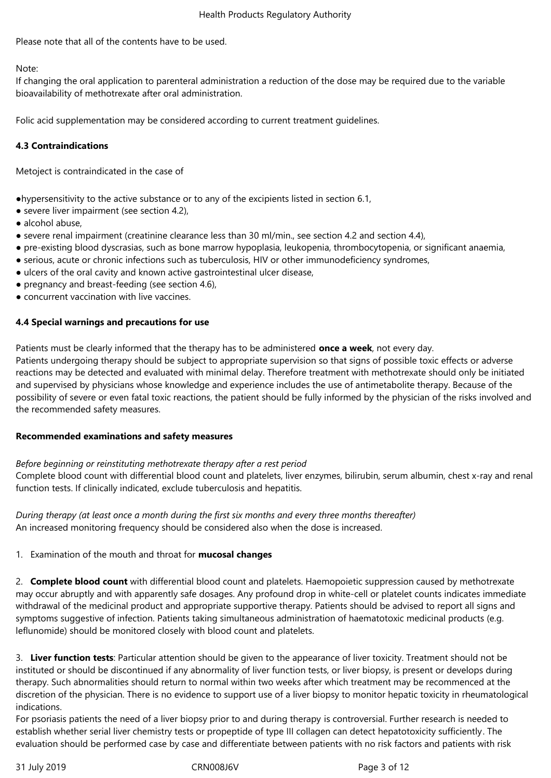Please note that all of the contents have to be used.

## Note:

If changing the oral application to parenteral administration a reduction of the dose may be required due to the variable bioavailability of methotrexate after oral administration.

Folic acid supplementation may be considered according to current treatment guidelines.

## **4.3 Contraindications**

Metoject is contraindicated in the case of

●hypersensitivity to the active substance or to any of the excipients listed in section 6.1,

- severe liver impairment (see section 4.2),
- alcohol abuse,
- severe renal impairment (creatinine clearance less than 30 ml/min., see section 4.2 and section 4.4),
- pre-existing blood dyscrasias, such as bone marrow hypoplasia, leukopenia, thrombocytopenia, or significant anaemia,
- serious, acute or chronic infections such as tuberculosis, HIV or other immunodeficiency syndromes,
- ulcers of the oral cavity and known active gastrointestinal ulcer disease,
- pregnancy and breast-feeding (see section 4.6),
- concurrent vaccination with live vaccines.

## **4.4 Special warnings and precautions for use**

Patients must be clearly informed that the therapy has to be administered **once a week**, not every day.

Patients undergoing therapy should be subject to appropriate supervision so that signs of possible toxic effects or adverse reactions may be detected and evaluated with minimal delay. Therefore treatment with methotrexate should only be initiated and supervised by physicians whose knowledge and experience includes the use of antimetabolite therapy. Because of the possibility of severe or even fatal toxic reactions, the patient should be fully informed by the physician of the risks involved and the recommended safety measures.

### **Recommended examinations and safety measures**

### *Before beginning or reinstituting methotrexate therapy after a rest period*

Complete blood count with differential blood count and platelets, liver enzymes, bilirubin, serum albumin, chest x-ray and renal function tests. If clinically indicated, exclude tuberculosis and hepatitis.

*During therapy (at least once a month during the first six months and every three months thereafter)* An increased monitoring frequency should be considered also when the dose is increased.

# 1. Examination of the mouth and throat for **mucosal changes**

2. **Complete blood count** with differential blood count and platelets. Haemopoietic suppression caused by methotrexate may occur abruptly and with apparently safe dosages. Any profound drop in white-cell or platelet counts indicates immediate withdrawal of the medicinal product and appropriate supportive therapy. Patients should be advised to report all signs and symptoms suggestive of infection. Patients taking simultaneous administration of haematotoxic medicinal products (e.g. leflunomide) should be monitored closely with blood count and platelets.

3. **Liver function tests**: Particular attention should be given to the appearance of liver toxicity. Treatment should not be instituted or should be discontinued if any abnormality of liver function tests, or liver biopsy, is present or develops during therapy. Such abnormalities should return to normal within two weeks after which treatment may be recommenced at the discretion of the physician. There is no evidence to support use of a liver biopsy to monitor hepatic toxicity in rheumatological indications.

For psoriasis patients the need of a liver biopsy prior to and during therapy is controversial. Further research is needed to establish whether serial liver chemistry tests or propeptide of type III collagen can detect hepatotoxicity sufficiently. The evaluation should be performed case by case and differentiate between patients with no risk factors and patients with risk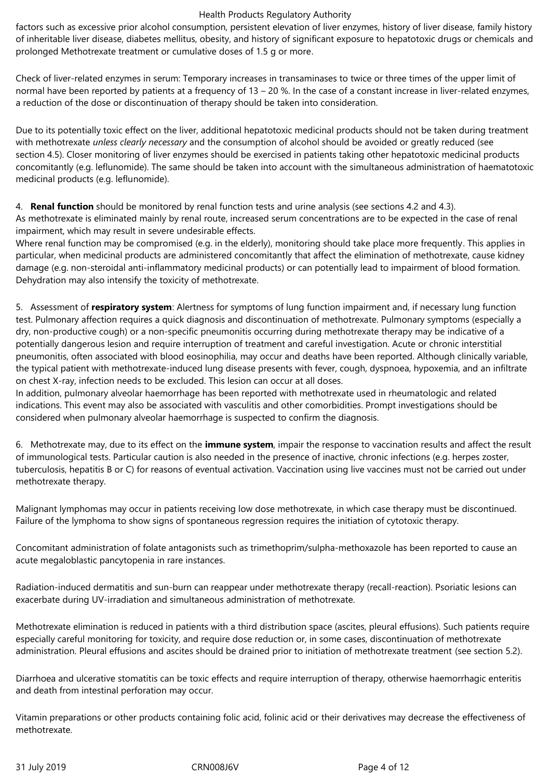factors such as excessive prior alcohol consumption, persistent elevation of liver enzymes, history of liver disease, family history of inheritable liver disease, diabetes mellitus, obesity, and history of significant exposure to hepatotoxic drugs or chemicals and prolonged Methotrexate treatment or cumulative doses of 1.5 g or more.

Check of liver-related enzymes in serum: Temporary increases in transaminases to twice or three times of the upper limit of normal have been reported by patients at a frequency of 13 – 20 %. In the case of a constant increase in liver-related enzymes, a reduction of the dose or discontinuation of therapy should be taken into consideration.

Due to its potentially toxic effect on the liver, additional hepatotoxic medicinal products should not be taken during treatment with methotrexate *unless clearly necessary* and the consumption of alcohol should be avoided or greatly reduced (see section 4.5). Closer monitoring of liver enzymes should be exercised in patients taking other hepatotoxic medicinal products concomitantly (e.g. leflunomide). The same should be taken into account with the simultaneous administration of haematotoxic medicinal products (e.g. leflunomide).

4. **Renal function** should be monitored by renal function tests and urine analysis (see sections 4.2 and 4.3). As methotrexate is eliminated mainly by renal route, increased serum concentrations are to be expected in the case of renal impairment, which may result in severe undesirable effects.

Where renal function may be compromised (e.g. in the elderly), monitoring should take place more frequently. This applies in particular, when medicinal products are administered concomitantly that affect the elimination of methotrexate, cause kidney damage (e.g. non-steroidal anti-inflammatory medicinal products) or can potentially lead to impairment of blood formation. Dehydration may also intensify the toxicity of methotrexate.

5. Assessment of **respiratory system**: Alertness for symptoms of lung function impairment and, if necessary lung function test. Pulmonary affection requires a quick diagnosis and discontinuation of methotrexate. Pulmonary symptoms (especially a dry, non-productive cough) or a non-specific pneumonitis occurring during methotrexate therapy may be indicative of a potentially dangerous lesion and require interruption of treatment and careful investigation. Acute or chronic interstitial pneumonitis, often associated with blood eosinophilia, may occur and deaths have been reported. Although clinically variable, the typical patient with methotrexate-induced lung disease presents with fever, cough, dyspnoea, hypoxemia, and an infiltrate on chest X‑ray, infection needs to be excluded. This lesion can occur at all doses.

In addition, pulmonary alveolar haemorrhage has been reported with methotrexate used in rheumatologic and related indications. This event may also be associated with vasculitis and other comorbidities. Prompt investigations should be considered when pulmonary alveolar haemorrhage is suspected to confirm the diagnosis.

6. Methotrexate may, due to its effect on the **immune system**, impair the response to vaccination results and affect the result of immunological tests. Particular caution is also needed in the presence of inactive, chronic infections (e.g. herpes zoster, tuberculosis, hepatitis B or C) for reasons of eventual activation. Vaccination using live vaccines must not be carried out under methotrexate therapy.

Malignant lymphomas may occur in patients receiving low dose methotrexate, in which case therapy must be discontinued. Failure of the lymphoma to show signs of spontaneous regression requires the initiation of cytotoxic therapy.

Concomitant administration of folate antagonists such as trimethoprim/sulpha-methoxazole has been reported to cause an acute megaloblastic pancytopenia in rare instances.

Radiation-induced dermatitis and sun-burn can reappear under methotrexate therapy (recall-reaction). Psoriatic lesions can exacerbate during UV-irradiation and simultaneous administration of methotrexate.

Methotrexate elimination is reduced in patients with a third distribution space (ascites, pleural effusions). Such patients require especially careful monitoring for toxicity, and require dose reduction or, in some cases, discontinuation of methotrexate administration. Pleural effusions and ascites should be drained prior to initiation of methotrexate treatment (see section 5.2).

Diarrhoea and ulcerative stomatitis can be toxic effects and require interruption of therapy, otherwise haemorrhagic enteritis and death from intestinal perforation may occur.

Vitamin preparations or other products containing folic acid, folinic acid or their derivatives may decrease the effectiveness of methotrexate.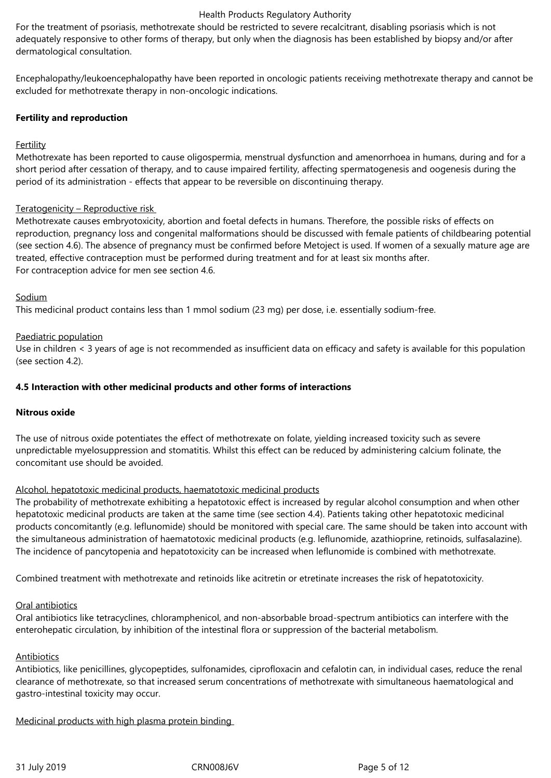For the treatment of psoriasis, methotrexate should be restricted to severe recalcitrant, disabling psoriasis which is not adequately responsive to other forms of therapy, but only when the diagnosis has been established by biopsy and/or after dermatological consultation.

Encephalopathy/leukoencephalopathy have been reported in oncologic patients receiving methotrexate therapy and cannot be excluded for methotrexate therapy in non-oncologic indications.

## **Fertility and reproduction**

## Fertility

Methotrexate has been reported to cause oligospermia, menstrual dysfunction and amenorrhoea in humans, during and for a short period after cessation of therapy, and to cause impaired fertility, affecting spermatogenesis and oogenesis during the period of its administration - effects that appear to be reversible on discontinuing therapy.

## Teratogenicity – Reproductive risk

Methotrexate causes embryotoxicity, abortion and foetal defects in humans. Therefore, the possible risks of effects on reproduction, pregnancy loss and congenital malformations should be discussed with female patients of childbearing potential (see section 4.6). The absence of pregnancy must be confirmed before Metoject is used. If women of a sexually mature age are treated, effective contraception must be performed during treatment and for at least six months after. For contraception advice for men see section 4.6.

## Sodium

This medicinal product contains less than 1 mmol sodium (23 mg) per dose, i.e. essentially sodium‑free.

## Paediatric population

Use in children < 3 years of age is not recommended as insufficient data on efficacy and safety is available for this population (see section 4.2).

## **4.5 Interaction with other medicinal products and other forms of interactions**

### **Nitrous oxide**

The use of nitrous oxide potentiates the effect of methotrexate on folate, yielding increased toxicity such as severe unpredictable myelosuppression and stomatitis. Whilst this effect can be reduced by administering calcium folinate, the concomitant use should be avoided.

### Alcohol, hepatotoxic medicinal products, haematotoxic medicinal products

The probability of methotrexate exhibiting a hepatotoxic effect is increased by regular alcohol consumption and when other hepatotoxic medicinal products are taken at the same time (see section 4.4). Patients taking other hepatotoxic medicinal products concomitantly (e.g. leflunomide) should be monitored with special care. The same should be taken into account with the simultaneous administration of haematotoxic medicinal products (e.g. leflunomide, azathioprine, retinoids, sulfasalazine). The incidence of pancytopenia and hepatotoxicity can be increased when leflunomide is combined with methotrexate.

Combined treatment with methotrexate and retinoids like acitretin or etretinate increases the risk of hepatotoxicity.

### Oral antibiotics

Oral antibiotics like tetracyclines, chloramphenicol, and non-absorbable broad-spectrum antibiotics can interfere with the enterohepatic circulation, by inhibition of the intestinal flora or suppression of the bacterial metabolism.

### Antibiotics

Antibiotics, like penicillines, glycopeptides, sulfonamides, ciprofloxacin and cefalotin can, in individual cases, reduce the renal clearance of methotrexate, so that increased serum concentrations of methotrexate with simultaneous haematological and gastro-intestinal toxicity may occur.

Medicinal products with high plasma protein binding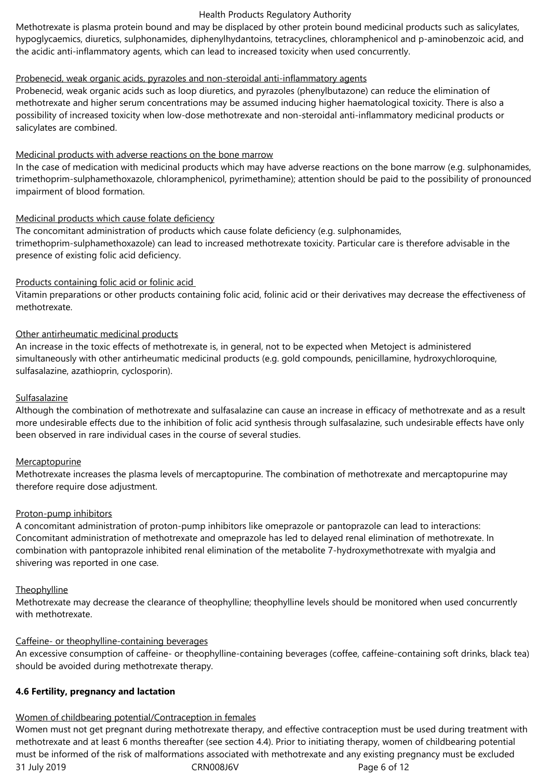Methotrexate is plasma protein bound and may be displaced by other protein bound medicinal products such as salicylates, hypoglycaemics, diuretics, sulphonamides, diphenylhydantoins, tetracyclines, chloramphenicol and p-aminobenzoic acid, and the acidic anti-inflammatory agents, which can lead to increased toxicity when used concurrently.

# Probenecid, weak organic acids, pyrazoles and non-steroidal anti-inflammatory agents

Probenecid, weak organic acids such as loop diuretics, and pyrazoles (phenylbutazone) can reduce the elimination of methotrexate and higher serum concentrations may be assumed inducing higher haematological toxicity. There is also a possibility of increased toxicity when low-dose methotrexate and non-steroidal anti-inflammatory medicinal products or salicylates are combined.

## Medicinal products with adverse reactions on the bone marrow

In the case of medication with medicinal products which may have adverse reactions on the bone marrow (e.g. sulphonamides, trimethoprim-sulphamethoxazole, chloramphenicol, pyrimethamine); attention should be paid to the possibility of pronounced impairment of blood formation.

## Medicinal products which cause folate deficiency

The concomitant administration of products which cause folate deficiency (e.g. sulphonamides, trimethoprim-sulphamethoxazole) can lead to increased methotrexate toxicity. Particular care is therefore advisable in the presence of existing folic acid deficiency.

### Products containing folic acid or folinic acid

Vitamin preparations or other products containing folic acid, folinic acid or their derivatives may decrease the effectiveness of methotrexate.

## Other antirheumatic medicinal products

An increase in the toxic effects of methotrexate is, in general, not to be expected when Metoject is administered simultaneously with other antirheumatic medicinal products (e.g. gold compounds, penicillamine, hydroxychloroquine, sulfasalazine, azathioprin, cyclosporin).

### Sulfasalazine

Although the combination of methotrexate and sulfasalazine can cause an increase in efficacy of methotrexate and as a result more undesirable effects due to the inhibition of folic acid synthesis through sulfasalazine, such undesirable effects have only been observed in rare individual cases in the course of several studies.

### **Mercaptopurine**

Methotrexate increases the plasma levels of mercaptopurine. The combination of methotrexate and mercaptopurine may therefore require dose adjustment.

# Proton-pump inhibitors

A concomitant administration of proton-pump inhibitors like omeprazole or pantoprazole can lead to interactions: Concomitant administration of methotrexate and omeprazole has led to delayed renal elimination of methotrexate. In combination with pantoprazole inhibited renal elimination of the metabolite 7‑hydroxymethotrexate with myalgia and shivering was reported in one case.

### **Theophylline**

Methotrexate may decrease the clearance of theophylline; theophylline levels should be monitored when used concurrently with methotrexate.

### Caffeine- or theophylline-containing beverages

An excessive consumption of caffeine- or theophylline-containing beverages (coffee, caffeine-containing soft drinks, black tea) should be avoided during methotrexate therapy.

### **4.6 Fertility, pregnancy and lactation**

# Women of childbearing potential/Contraception in females

31 July 2019 CRN008J6V Page 6 of 12 Women must not get pregnant during methotrexate therapy, and effective contraception must be used during treatment with methotrexate and at least 6 months thereafter (see section 4.4). Prior to initiating therapy, women of childbearing potential must be informed of the risk of malformations associated with methotrexate and any existing pregnancy must be excluded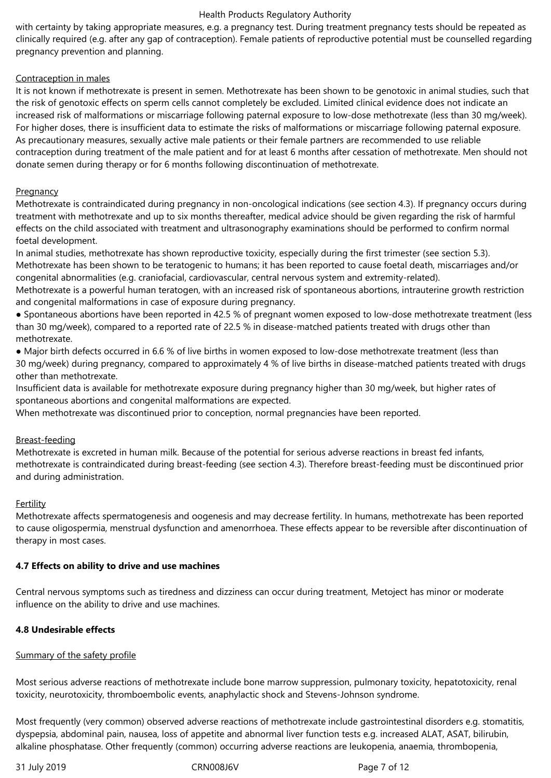with certainty by taking appropriate measures, e.g. a pregnancy test. During treatment pregnancy tests should be repeated as clinically required (e.g. after any gap of contraception). Female patients of reproductive potential must be counselled regarding pregnancy prevention and planning.

# Contraception in males

It is not known if methotrexate is present in semen. Methotrexate has been shown to be genotoxic in animal studies, such that the risk of genotoxic effects on sperm cells cannot completely be excluded. Limited clinical evidence does not indicate an increased risk of malformations or miscarriage following paternal exposure to low-dose methotrexate (less than 30 mg/week). For higher doses, there is insufficient data to estimate the risks of malformations or miscarriage following paternal exposure. As precautionary measures, sexually active male patients or their female partners are recommended to use reliable contraception during treatment of the male patient and for at least 6 months after cessation of methotrexate. Men should not donate semen during therapy or for 6 months following discontinuation of methotrexate.

# **Pregnancy**

Methotrexate is contraindicated during pregnancy in non-oncological indications (see section 4.3). If pregnancy occurs during treatment with methotrexate and up to six months thereafter, medical advice should be given regarding the risk of harmful effects on the child associated with treatment and ultrasonography examinations should be performed to confirm normal foetal development.

In animal studies, methotrexate has shown reproductive toxicity, especially during the first trimester (see section 5.3). Methotrexate has been shown to be teratogenic to humans; it has been reported to cause foetal death, miscarriages and/or congenital abnormalities (e.g. craniofacial, cardiovascular, central nervous system and extremity-related).

Methotrexate is a powerful human teratogen, with an increased risk of spontaneous abortions, intrauterine growth restriction and congenital malformations in case of exposure during pregnancy.

● Spontaneous abortions have been reported in 42.5 % of pregnant women exposed to low-dose methotrexate treatment (less than 30 mg/week), compared to a reported rate of 22.5 % in disease-matched patients treated with drugs other than methotrexate.

● Major birth defects occurred in 6.6 % of live births in women exposed to low-dose methotrexate treatment (less than 30 mg/week) during pregnancy, compared to approximately 4 % of live births in disease-matched patients treated with drugs other than methotrexate.

Insufficient data is available for methotrexate exposure during pregnancy higher than 30 mg/week, but higher rates of spontaneous abortions and congenital malformations are expected.

When methotrexate was discontinued prior to conception, normal pregnancies have been reported.

# Breast-feeding

Methotrexate is excreted in human milk. Because of the potential for serious adverse reactions in breast fed infants, methotrexate is contraindicated during breast-feeding (see section 4.3). Therefore breast-feeding must be discontinued prior and during administration.

# **Fertility**

Methotrexate affects spermatogenesis and oogenesis and may decrease fertility. In humans, methotrexate has been reported to cause oligospermia, menstrual dysfunction and amenorrhoea. These effects appear to be reversible after discontinuation of therapy in most cases.

# **4.7 Effects on ability to drive and use machines**

Central nervous symptoms such as tiredness and dizziness can occur during treatment, Metoject has minor or moderate influence on the ability to drive and use machines.

# **4.8 Undesirable effects**

# Summary of the safety profile

Most serious adverse reactions of methotrexate include bone marrow suppression, pulmonary toxicity, hepatotoxicity, renal toxicity, neurotoxicity, thromboembolic events, anaphylactic shock and Stevens-Johnson syndrome.

Most frequently (very common) observed adverse reactions of methotrexate include gastrointestinal disorders e.g. stomatitis, dyspepsia, abdominal pain, nausea, loss of appetite and abnormal liver function tests e.g. increased ALAT, ASAT, bilirubin, alkaline phosphatase. Other frequently (common) occurring adverse reactions are leukopenia, anaemia, thrombopenia,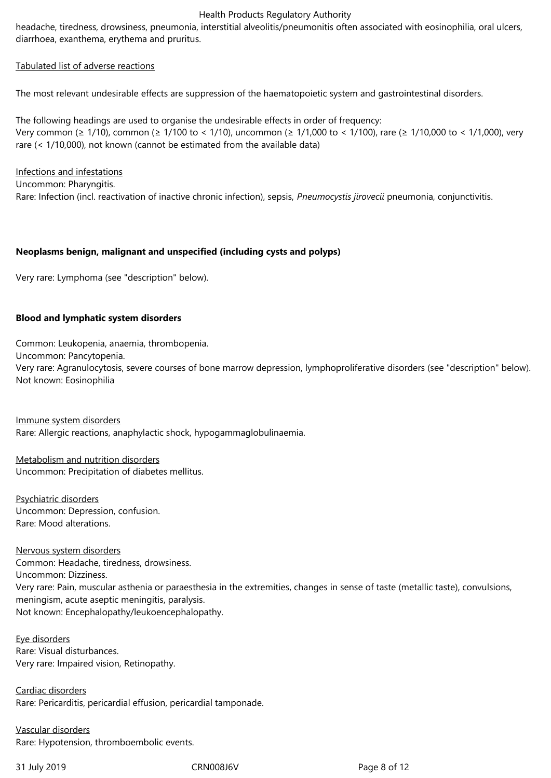headache, tiredness, drowsiness, pneumonia, interstitial alveolitis/pneumonitis often associated with eosinophilia, oral ulcers, diarrhoea, exanthema, erythema and pruritus.

#### Tabulated list of adverse reactions

The most relevant undesirable effects are suppression of the haematopoietic system and gastrointestinal disorders.

The following headings are used to organise the undesirable effects in order of frequency: Very common (≥ 1/10), common (≥ 1/100 to < 1/10), uncommon (≥ 1/1,000 to < 1/100), rare (≥ 1/10,000 to < 1/1,000), very rare (< 1/10,000), not known (cannot be estimated from the available data)

### Infections and infestations

Uncommon: Pharyngitis. Rare: Infection (incl. reactivation of inactive chronic infection), sepsis, *Pneumocystis jirovecii* pneumonia, conjunctivitis.

### **Neoplasms benign, malignant and unspecified (including cysts and polyps)**

Very rare: Lymphoma (see "description" below).

### **Blood and lymphatic system disorders**

Common: Leukopenia, anaemia, thrombopenia. Uncommon: Pancytopenia. Very rare: Agranulocytosis, severe courses of bone marrow depression, lymphoproliferative disorders (see "description" below). Not known: Eosinophilia

Immune system disorders Rare: Allergic reactions, anaphylactic shock, hypogammaglobulinaemia.

Metabolism and nutrition disorders Uncommon: Precipitation of diabetes mellitus.

Psychiatric disorders Uncommon: Depression, confusion. Rare: Mood alterations.

### Nervous system disorders

Common: Headache, tiredness, drowsiness. Uncommon: Dizziness. Very rare: Pain, muscular asthenia or paraesthesia in the extremities, changes in sense of taste (metallic taste), convulsions, meningism, acute aseptic meningitis, paralysis. Not known: Encephalopathy/leukoencephalopathy.

#### Eye disorders Rare: Visual disturbances. Very rare: Impaired vision, Retinopathy.

Cardiac disorders Rare: Pericarditis, pericardial effusion, pericardial tamponade.

Vascular disorders Rare: Hypotension, thromboembolic events.

31 July 2019 CRN008J6V Page 8 of 12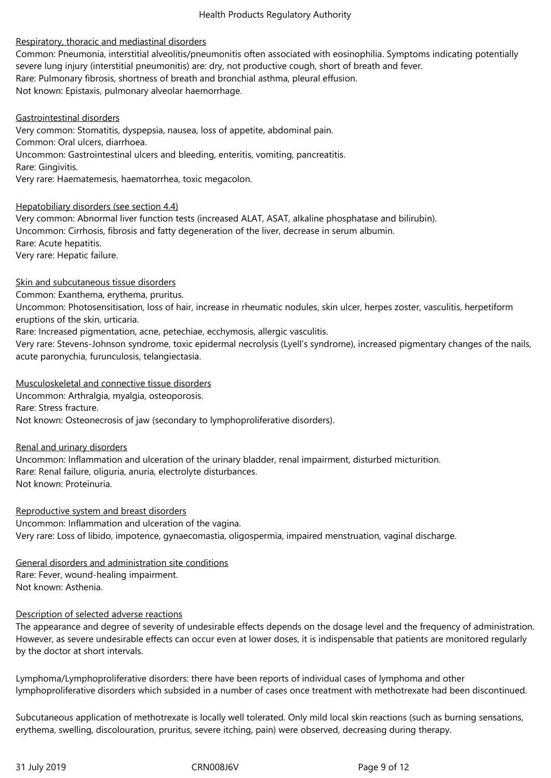## Respiratory, thoracic and mediastinal disorders

Common: Pneumonia, interstitial alveolitis/pneumonitis often associated with eosinophilia. Symptoms indicating potentially severe lung injury (interstitial pneumonitis) are: dry, not productive cough, short of breath and fever. Rare: Pulmonary fibrosis, shortness of breath and bronchial asthma, pleural effusion. Not known: Epistaxis, pulmonary alveolar haemorrhage.

Gastrointestinal disorders Very common: Stomatitis, dyspepsia, nausea, loss of appetite, abdominal pain. Common: Oral ulcers, diarrhoea. Uncommon: Gastrointestinal ulcers and bleeding, enteritis, vomiting, pancreatitis. Rare: Gingivitis. Very rare: Haematemesis, haematorrhea, toxic megacolon.

#### Hepatobiliary disorders (see section 4.4)

Very common: Abnormal liver function tests (increased ALAT, ASAT, alkaline phosphatase and bilirubin). Uncommon: Cirrhosis, fibrosis and fatty degeneration of the liver, decrease in serum albumin. Rare: Acute hepatitis. Very rare: Hepatic failure.

### Skin and subcutaneous tissue disorders

Common: Exanthema, erythema, pruritus.

Uncommon: Photosensitisation, loss of hair, increase in rheumatic nodules, skin ulcer, herpes zoster, vasculitis, herpetiform eruptions of the skin, urticaria.

Rare: Increased pigmentation, acne, petechiae, ecchymosis, allergic vasculitis.

Very rare: Stevens-Johnson syndrome, toxic epidermal necrolysis (Lyell's syndrome), increased pigmentary changes of the nails, acute paronychia, furunculosis, telangiectasia.

Musculoskeletal and connective tissue disorders

Uncommon: Arthralgia, myalgia, osteoporosis.

Rare: Stress fracture.

Not known: Osteonecrosis of jaw (secondary to lymphoproliferative disorders).

### Renal and urinary disorders

Uncommon: Inflammation and ulceration of the urinary bladder, renal impairment, disturbed micturition. Rare: Renal failure, oliguria, anuria, electrolyte disturbances. Not known: Proteinuria.

Reproductive system and breast disorders Uncommon: Inflammation and ulceration of the vagina. Very rare: Loss of libido, impotence, gynaecomastia, oligospermia, impaired menstruation, vaginal discharge.

General disorders and administration site conditions Rare: Fever, wound-healing impairment. Not known: Asthenia.

### Description of selected adverse reactions

The appearance and degree of severity of undesirable effects depends on the dosage level and the frequency of administration. However, as severe undesirable effects can occur even at lower doses, it is indispensable that patients are monitored regularly by the doctor at short intervals.

Lymphoma/Lymphoproliferative disorders: there have been reports of individual cases of lymphoma and other lymphoproliferative disorders which subsided in a number of cases once treatment with methotrexate had been discontinued.

Subcutaneous application of methotrexate is locally well tolerated. Only mild local skin reactions (such as burning sensations, erythema, swelling, discolouration, pruritus, severe itching, pain) were observed, decreasing during therapy.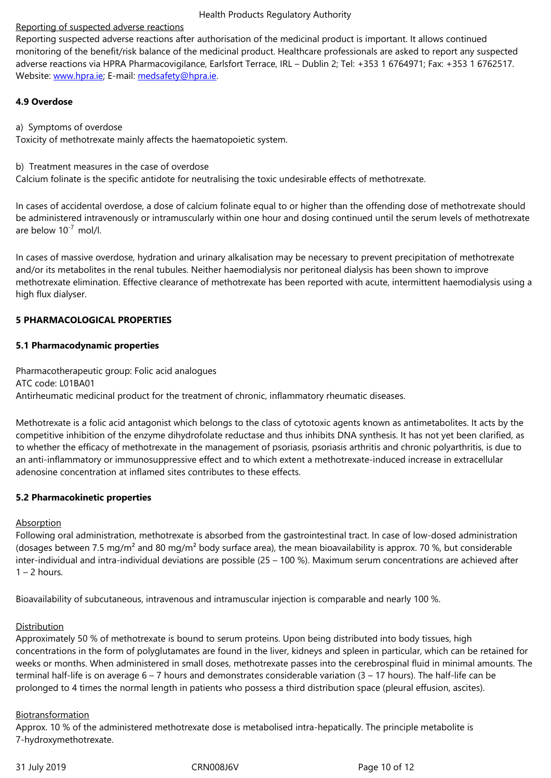monitoring of the benefit/risk balance of the medicinal product. Healthcare professionals are asked to report any suspected adverse reactions via HPRA Pharmacovigilance, Earlsfort Terrace, IRL – Dublin 2; Tel: +353 1 6764971; Fax: +353 1 6762517. Website: www.hpra.ie; E-mail: medsafety@hpra.ie.

# **4.9 Overdose**

a) Symp[toms of overd](http://www.hpra.ie/)ose

Toxicity of methotrexate mainly affects the haematopoietic system.

b) Treatment measures in the case of overdose

Calcium folinate is the specific antidote for neutralising the toxic undesirable effects of methotrexate.

In cases of accidental overdose, a dose of calcium folinate equal to or higher than the offending dose of methotrexate should be administered intravenously or intramuscularly within one hour and dosing continued until the serum levels of methotrexate are below  $10^{-7}$  mol/l.

In cases of massive overdose, hydration and urinary alkalisation may be necessary to prevent precipitation of methotrexate and/or its metabolites in the renal tubules. Neither haemodialysis nor peritoneal dialysis has been shown to improve methotrexate elimination. Effective clearance of methotrexate has been reported with acute, intermittent haemodialysis using a high flux dialyser.

# **5 PHARMACOLOGICAL PROPERTIES**

# **5.1 Pharmacodynamic properties**

Pharmacotherapeutic group: Folic acid analogues ATC code: L01BA01 Antirheumatic medicinal product for the treatment of chronic, inflammatory rheumatic diseases.

Methotrexate is a folic acid antagonist which belongs to the class of cytotoxic agents known as antimetabolites. It acts by the competitive inhibition of the enzyme dihydrofolate reductase and thus inhibits DNA synthesis. It has not yet been clarified, as to whether the efficacy of methotrexate in the management of psoriasis, psoriasis arthritis and chronic polyarthritis, is due to an anti-inflammatory or immunosuppressive effect and to which extent a methotrexate-induced increase in extracellular adenosine concentration at inflamed sites contributes to these effects.

# **5.2 Pharmacokinetic properties**

# Absorption

Following oral administration, methotrexate is absorbed from the gastrointestinal tract. In case of low-dosed administration (dosages between 7.5 mg/m<sup>2</sup> and 80 mg/m<sup>2</sup> body surface area), the mean bioavailability is approx. 70 %, but considerable inter-individual and intra-individual deviations are possible (25 – 100 %). Maximum serum concentrations are achieved after  $1 - 2$  hours.

Bioavailability of subcutaneous, intravenous and intramuscular injection is comparable and nearly 100 %.

# **Distribution**

Approximately 50 % of methotrexate is bound to serum proteins. Upon being distributed into body tissues, high concentrations in the form of polyglutamates are found in the liver, kidneys and spleen in particular, which can be retained for weeks or months. When administered in small doses, methotrexate passes into the cerebrospinal fluid in minimal amounts. The terminal half-life is on average 6 – 7 hours and demonstrates considerable variation (3 – 17 hours). The half-life can be prolonged to 4 times the normal length in patients who possess a third distribution space (pleural effusion, ascites).

# Biotransformation

Approx. 10 % of the administered methotrexate dose is metabolised intra-hepatically. The principle metabolite is 7‑hydroxymethotrexate.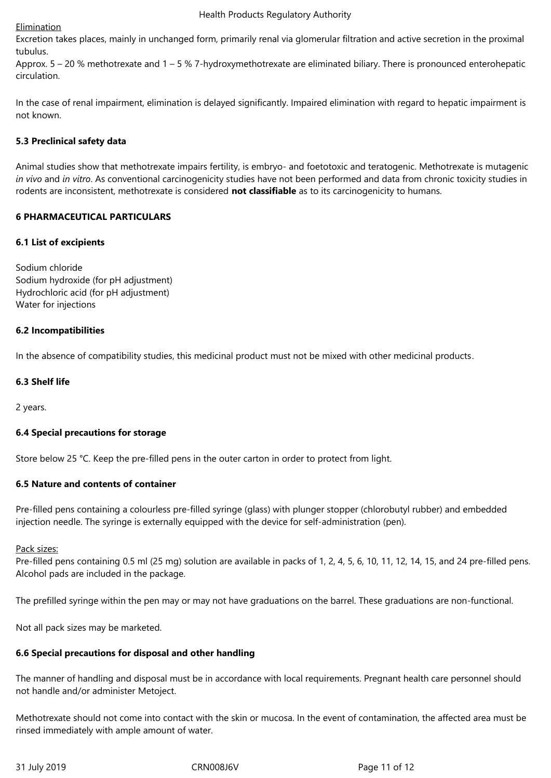## Elimination

Excretion takes places, mainly in unchanged form, primarily renal via glomerular filtration and active secretion in the proximal tubulus.

Approx.  $5 - 20$  % methotrexate and  $1 - 5$  % 7-hydroxymethotrexate are eliminated biliary. There is pronounced enterohepatic circulation.

In the case of renal impairment, elimination is delayed significantly. Impaired elimination with regard to hepatic impairment is not known.

# **5.3 Preclinical safety data**

Animal studies show that methotrexate impairs fertility, is embryo- and foetotoxic and teratogenic. Methotrexate is mutagenic *in vivo* and *in vitro*. As conventional carcinogenicity studies have not been performed and data from chronic toxicity studies in rodents are inconsistent, methotrexate is considered **not classifiable** as to its carcinogenicity to humans.

## **6 PHARMACEUTICAL PARTICULARS**

## **6.1 List of excipients**

Sodium chloride Sodium hydroxide (for pH adjustment) Hydrochloric acid (for pH adjustment) Water for injections

## **6.2 Incompatibilities**

In the absence of compatibility studies, this medicinal product must not be mixed with other medicinal products.

## **6.3 Shelf life**

2 years.

# **6.4 Special precautions for storage**

Store below 25 °C. Keep the pre-filled pens in the outer carton in order to protect from light.

# **6.5 Nature and contents of container**

Pre-filled pens containing a colourless pre-filled syringe (glass) with plunger stopper (chlorobutyl rubber) and embedded injection needle. The syringe is externally equipped with the device for self-administration (pen).

### Pack sizes:

Pre-filled pens containing 0.5 ml (25 mg) solution are available in packs of 1, 2, 4, 5, 6, 10, 11, 12, 14, 15, and 24 pre-filled pens. Alcohol pads are included in the package.

The prefilled syringe within the pen may or may not have graduations on the barrel. These graduations are non-functional.

Not all pack sizes may be marketed.

# **6.6 Special precautions for disposal and other handling**

The manner of handling and disposal must be in accordance with local requirements. Pregnant health care personnel should not handle and/or administer Metoject.

Methotrexate should not come into contact with the skin or mucosa. In the event of contamination, the affected area must be rinsed immediately with ample amount of water.